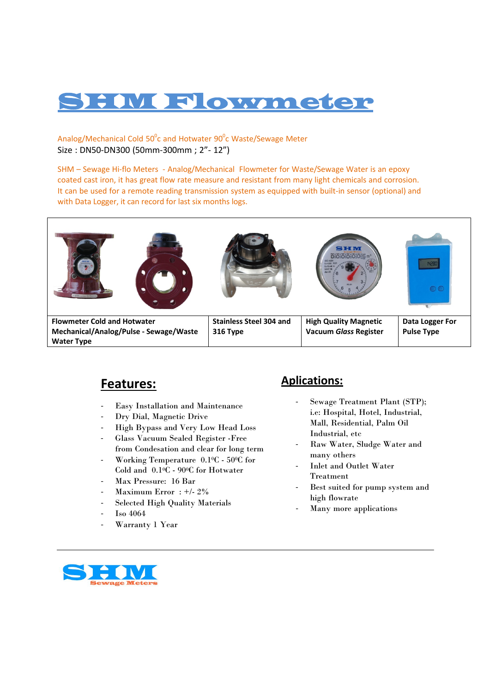# **M Flowmeter**

Analog/Mechanical Cold  $50^0$ c and Hotwater  $90^0$ c Waste/Sewage Meter Size : DN50‐DN300 (50mm‐300mm ; 2"‐ 12")

SHM – Sewage Hi-flo Meters - Analog/Mechanical Flowmeter for Waste/Sewage Water is an epoxy coated cast iron, it has great flow rate measure and resistant from many light chemicals and corrosion. It can be used for a remote reading transmission system as equipped with built-in sensor (optional) and with Data Logger, it can record for last six months logs.



#### **Features:**

- ‐ Easy Installation and Maintenance
- ‐ Dry Dial, Magnetic Drive
- ‐ High Bypass and Very Low Head Loss
- ‐ Glass Vacuum Sealed Register -Free from Condesation and clear for long term
- ‐ Working Temperature 0.10C 500C for Cold and 0.10C - 900C for Hotwater
- ‐ Max Pressure: 16 Bar
- Maximum Error :  $+/- 2\%$
- ‐ Selected High Quality Materials
- ‐ Iso 4064
- Warranty 1 Year

#### **Aplications:**

- Sewage Treatment Plant (STP); i.e: Hospital, Hotel, Industrial, Mall, Residential, Palm Oil Industrial, etc
- ‐ Raw Water, Sludge Water and many others
- Inlet and Outlet Water Treatment
- Best suited for pump system and high flowrate
- ‐ Many more applications

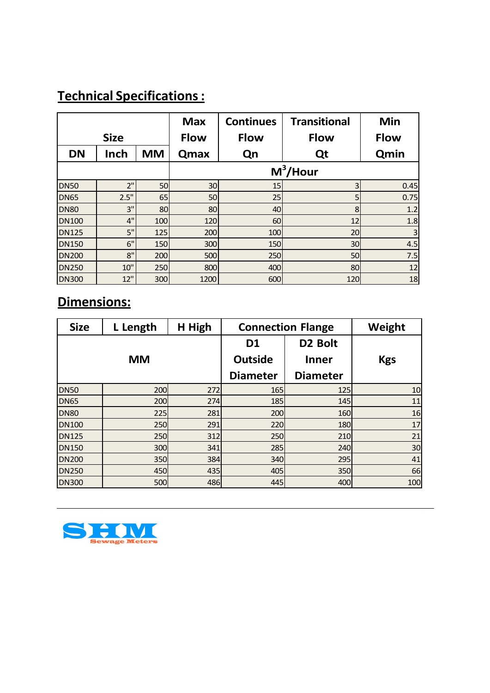## **Technical Specifications:**

|              |        |           | <b>Max</b>  | <b>Continues</b> | <b>Transitional</b> | Min         |  |
|--------------|--------|-----------|-------------|------------------|---------------------|-------------|--|
| <b>Size</b>  |        |           | <b>Flow</b> | <b>Flow</b>      | <b>Flow</b>         | <b>Flow</b> |  |
| <b>DN</b>    | Inch   | <b>MM</b> | Qmax        | Qn               | Qt                  | Qmin        |  |
|              |        |           | $M^3$ /Hour |                  |                     |             |  |
| <b>DN50</b>  | 2"     | 50        | 30          | 15               | $\overline{3}$      | 0.45        |  |
| <b>DN65</b>  | 2.5"   | 65        | 50          | 25               | 5                   | 0.75        |  |
| <b>DN80</b>  | 3"     | 80        | 80          | 40               | 8                   | 1.2         |  |
| <b>DN100</b> | 4"     | 100       | 120         | 60               | 12                  | 1.8         |  |
| <b>DN125</b> | 5"     | 125       | 200         | 100              | 20                  | 3           |  |
| <b>DN150</b> | 6"     | 150       | 300         | 150              | 30                  | 4.5         |  |
| <b>DN200</b> | 8"     | 200       | 500         | 250              | 50                  | 7.5         |  |
| <b>DN250</b> | $10$ " | 250       | 800         | 400              | 80                  | 12          |  |
| <b>DN300</b> | 12"    | 300       | 1200        | 600              | 120                 | 18          |  |

# **Dimensions:**

| <b>Size</b>  | L Length  | H High | <b>Connection Flange</b> | Weight              |            |
|--------------|-----------|--------|--------------------------|---------------------|------------|
|              |           |        | D <sub>1</sub>           | D <sub>2</sub> Bolt |            |
|              | <b>MM</b> |        | <b>Outside</b>           | <b>Inner</b>        | <b>Kgs</b> |
|              |           |        | <b>Diameter</b>          | <b>Diameter</b>     |            |
| <b>DN50</b>  | 200       | 272    | 165                      | 125                 | 10         |
| <b>DN65</b>  | 200       | 274    | 185                      | 145                 | 11         |
| <b>DN80</b>  | 225       | 281    | 200                      | 160                 | 16         |
| <b>DN100</b> | 250       | 291    | 220                      | 180                 | 17         |
| <b>DN125</b> | 250       | 312    | 250                      | 210                 | 21         |
| <b>DN150</b> | 300       | 341    | 285                      | 240                 | 30         |
| <b>DN200</b> | 350       | 384    | 340                      | 295                 | 41         |
| <b>DN250</b> | 450       | 435    | 405                      | 350                 | 66         |
| <b>DN300</b> | 500       | 486    | 445                      | 400                 | 100        |